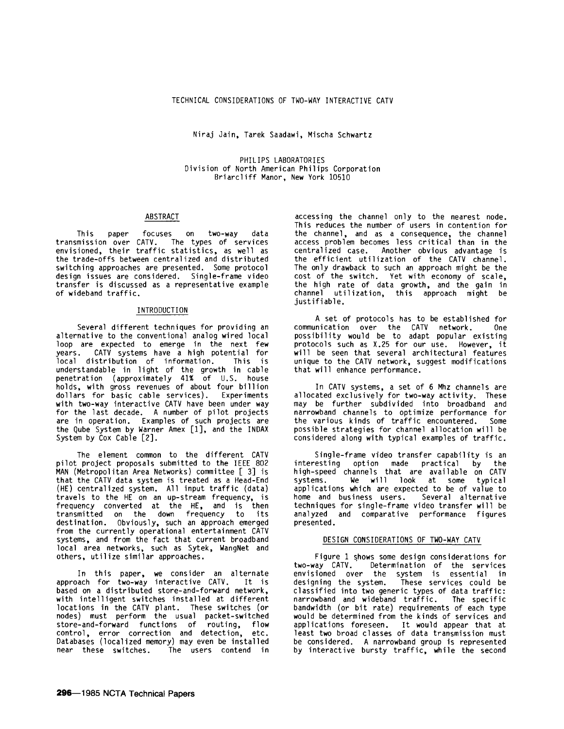Niraj Jain, Tarek Saadawi, Mischa Schwartz

PHILIPS LABORATORIES Division of North American Philips Corporation Briarcliff Manor, New York 10510

## ABSTRACT

This paper focuses on two-way data transmission over CATV. The types of services envisioned, their traffic statistics, as well as the trade-offs between centralized and distributed switching approaches are presented. Some protocol design issues are considered. Single-frame video transfer is discussed as a representative example of wideband traffic.

# INTRODUCTION

Several different techniques for providing an alternative to the conventional analog wired local loop are expected to emerge in the next few<br>years. CATV systems have a high potential for  $CATV$  systems have a high potential for<br>istribution of information. This is local distribution of information. understandable in light of the growth in cable penetration {approximately 41% of U.S. house holds, with gross revenues of about four billion dollars for basic cable services). Experiments with two-way interactive CATV have been under way for the last decade. A number of pilot projects are in operation. Examples of such projects are the Qube System by Warner Amex [1], and the INDAX System by Cox Cable [2].

The element common to the different CATV pilot project proposals submitted to the IEEE 802 MAN (Metropolitan Area Networks) committee [ 3] is that the CATV data system is treated as a Head-End (HE) centralized system. All input traffic {data) travels to the HE on an up-stream frequency, is frequency converted at the HE, and is then transmitted on the down frequency to its destination. Obviously, such an approach emerged from the currently operational entertainment CATV systems, and from the fact that current broadband local area networks, such as Sytek, WangNet and others, utilize similar approaches.

In this paper, we consider an alternate approach for two-way interactive CATV. It is based on a distributed store-and-forward network, with intelligent switches installed at different locations in the CATV plant. These switches (or nodes) must perform the usual packet-switched store-and-forward functions of routing, flow control, error correction and detection, etc. Databases (localized memory) may even be installed The users contend in

accessing the channel only to the nearest node. This reduces the number of users in contention for the channel, and as a consequence, the channel access problem becomes less critical than in the centralized case. Another obvious advantage is the efficient utilization of the CATV channel. The only drawback to such an approach might be the cost of the switch. Yet with economy of scale, the high rate of data growth, and the gain in channel utilization, this approach might be justifiable.

A set of protocols has to be established for<br>inication over the CATV network. One communication over the CATV network. possibility would be to adapt popular existing protocols such as X.25 for our use. However, it will be seen that several architectural features unique to the CATV network, suggest modifications that will enhance performance.

In CATV systems, a set of 6 Mhz channels are allocated exclusively for two-way activity. These may be further subdivided into broadband and narrowband channels to optimize performance for<br>the various kinds of traffic encountered. Some the various kinds of traffic encountered. possible strategies for channel allocation will be considered along with typical examples of traffic.

Single-frame video transfer capability is an interesting option made practical by the high-speed channels that are available on CATV systems. We will look at some typical applications which are expected to be of value to home and business users. Several alternative home and business users. techniques for single-frame video transfer will be analyzed and comparative performance figures presented.

# DESIGN CONSIDERATIONS OF TWO-WAY CATV

Figure 1 shows some design considerations for<br>two-way CATV. Determination of the services Determination of the services envisioned over the system is essential in designing the system. These services could be classified into two generic types of data traffic: narrowband and wideband traffic. The specific bandwidth (or bit rate) requirements of each type would be determined from the kinds of services and applications foreseen. It would appear that at least two broad classes of data transmission must be considered. A narrowband group is represented by interactive bursty traffic, while the second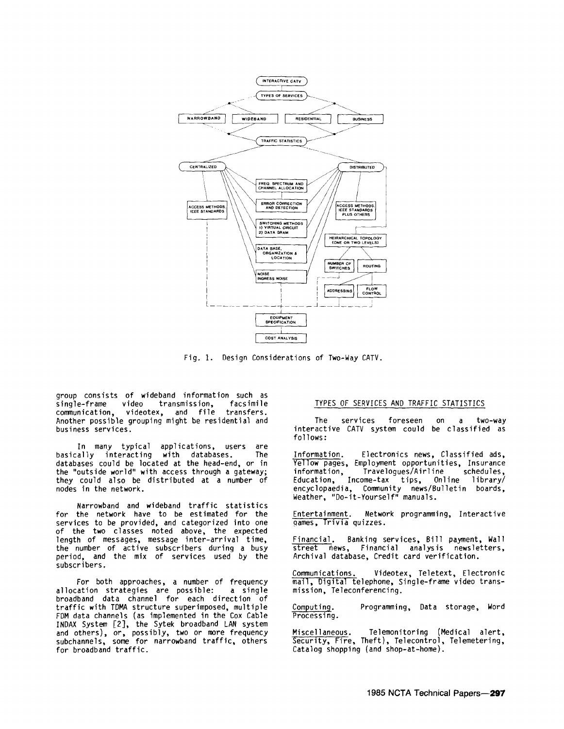

Fig. 1. Design Considerations of Two-Way CATV.

group consists of wideband information such as<br>single-frame video transmission, facsimile single-frame video transmission, facsimile communication, videotex, and file transfers. communication, videotex, and file transfers.<br>Another possible grouping might be residential and business services.

In many typical applications, users are basically interacting with databases. The databases could be located at the head-end, or in the "outside world" with access through a gateway; they could also be distributed at a number of nodes in the network.

Narrowband and wideband traffic statistics for the network have to be estimated for the services to be provided, and categorized into one of the two classes noted above, the expected length of messages, message inter-arrival time, the number of active subscribers during a busy period, and the mix of services used by the subscribers.

For both approaches, a number of frequency allocation strategies are possible: a single broadband data channel for each direction of traffic with TDMA structure superimposed, multiple FDM data channels (as implemented in the Cox Cable and others), or, possibly, two or more frequency subchannels, some for narrowband traffic, others for broadband traffic.

#### TYPES OF SERVICES AND TRAFFIC STATISTICS

The services foreseen on a two-way interactive CATV system could be classified as follows:

Information. Electronics news, Classified ads, Yellow pages, Employment opportunities, Insurance information, Travelogues/Airline schedules, Education, Income-tax tips, Online library/ encyclopaedia, Community news/Bulletin boards, Weather, "Do-it-Yourself" manuals.

Entertainment. Network programming, Interactive 9ames, Trivia quizzes.

Financial. Banking services, Bill payment, Wall street news, Financial analysis newsletters, Archival database, Credit card verification.

Communications. Videotex, Teletext, Electronic mail, Digital telephone, Single-frame video transmission, Teleconferencing.

Computing. Processing. Programming, Data storage, Word

Miscellaneous. Telemonitoring (Medical alert, Security, Fire, Theft), Telecontrol, Telemetering, Catalog shopping (and shop-at-home).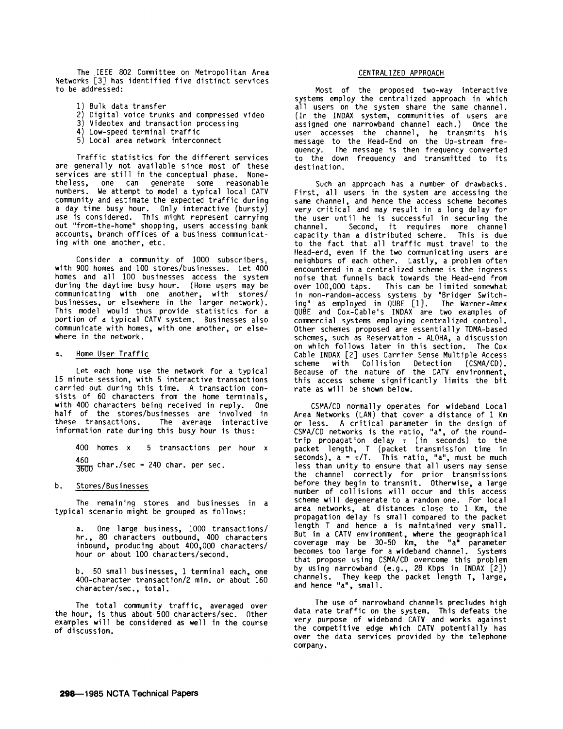The ,IEEE 802 Committee on Metropolitan Area Networks [3] has identified five distinct services to be addressed:

- 1) Bulk data transfer
- 2) Digital voice trunks and compressed video
- 3) Videotex and transaction processing
- 4) Low-speed terminal traffic
- 5) Local area network interconnect

Traffic statistics for the different services are generally not available since most of these services are still in the conceptual phase. Nonetheless, one can generate some reasonable numbers. We attempt to model a typical local CATV community and estimate the expected traffic during a day time busy hour. Only interactive (bursty) use is considered. This might represent carrying out "from-the-home" shopping, users accessing bank accounts, branch offices of a business communicating with one another, etc.

Consider a community of 1000 subscribers, with 900 homes and 100 stores/businesses. Let 400 homes and all 100 businesses access the system during the daytime busy hour. (Home users may be communicating with one another, with stores/ businesses, or elsewhere in the larger network). This model would thus provide statistics for a portion of a typical CATV system. Businesses also communicate with homes, with one another, or elsewhere in the network.

# a. Home User Traffic

Let each home use the network for a typical 15 minute session, with 5 interactive transactions carried out during this time. A transaction consists of 60 characters from the home terminals, with 400 characters being received in reply. One half of the stores/businesses are involved in these transactions. The average interactive information rate during this busy hour is thus:

400 homes x 5 transactions per hour x  $\frac{460}{3600}$  char./sec = 240 char. per sec.

#### b. Stores/Businesses

The remaininq stores and businesses in a typical scenario might be grouped as follows:

a. One large business, 1000 transactions/ hr., 80 characters outbound, 400 characters inbound, producing about 400,000 characters/ hour or about 100 characters/second.

b. 50 small businesses, 1 terminal each, one 400-character transaction/2 min. or about 160 character/sec., total.

The total community traffic, averaged over the hour, is thus about· 500 characters/sec. Other examples wi 11 be considered as well in the course of discussion.

### CENTRALIZED APPROACH

Most of the proposed two-way interactive systems employ the centralized approach in which all users on the system share the same channel. (In the INDAX system, communities of users are assigned one narrowband channel each.) Once the user accesses the channel, he transmits his message to the Head-End on the Up-stream frequency. The message is then frequency converted to the down frequency and transmitted to its destination.

Such an approach has a number of drawbacks. First, all users in the system are accessing the same channel, and hence the access scheme becomes very critical and may result in a long delay for the user until he is successful in securing the<br>channel. Second, it requires more channel Second, it requires more channel capacity than a distributed scheme. This is due to the fact that all traffic must travel to the Head-end, even if the two communicating users are neighbors of each other. Lastly, a problem often encountered in a centralized scheme is the ingress noise that funnels back towards the Head-end from over 100,000 taps. This can be 1 imited somewhat in non-random-access systems by "Bridger Switching" as employed in QUBE  $[1]$ . QUBE and Cox-Cable's INDAX are two examples of commercial systems employing centralized control. Other schemes proposed are essentially TDMA-based schemes, such as Reservation - ALOHA, a discussion on which follows later in this section. The Cox Cable INDAX [2] uses Carrier Sense Multiple Access scheme with Collision Detection (CSMA/CD). Because of the nature of the CATV environment, this access scheme significantly limits the bit rate as will be shown below.

CSMA/CD normally operates for wideband Local Area Networks (LAN) that cover a distance of 1 Km or less. A critical parameter in the design of CSMA/CD networks is the ratio, "a", of the roundtrip propagation delay  $\tau$  (in seconds) to the packet length, T (packet transmission time in<br>seconds), a = τ/T. This ratio, "a", must be much less than unity to ensure that all users may sense the channel correctly for prior transmissions before they begin to transmit. Otherwise, a large number of collisions will occur and this access scheme will degenerate to a random one. For local area networks, at distances close to 1 Km, the propagation delay is small compared to the packet length T and hence a is maintained very small. But in a CATV environment, where the geographical coverage may be 30-50 Km, the "a" parameter becomes too large for a wideband channel. Systems that propose using CSMA/CD overcome this problem by using narrowband (e.g., 28 Kbps in INDAX [2]) channels. They keep the packet length T, large, and hence "a", small.

The use of narrowband channels precludes high data rate traffic on the system. This defeats the very purpose of wideband CATV and works against the competitive edge which CATV potentially has over the data services provided by the telephone company.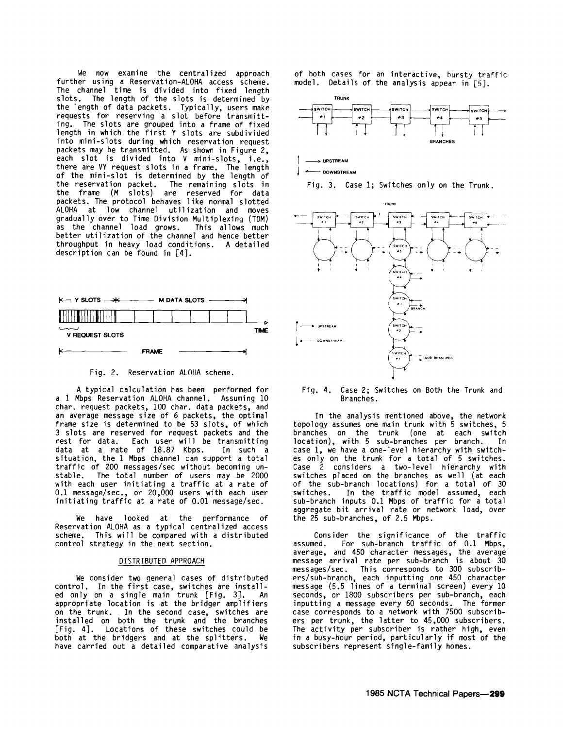We now examine the centralized approach further using a Reservation-ALOHA access scheme. The channel time is divided into fixed length<br>slots. The length of the slots is determined by the length of data packets. Typically, users make requests for reserving a slot before transmitting. The slots are grouped into a frame of fixed length in which the first Y slots are subdivided into mini-slots during which reservation request packets may be transmitted. As shown in Figure 2, each slot is divided into V mini-slots, i.e., there are VY request slots in a frame. The length of the mini-slot is determined by the length of the reservation packet. The remaining slots in the frame (M slots) are reserved for data packets. The protocol behaves like normal slotted ALOHA at low channel utilization and moves gradually over to Time Division Multiplexing (TDM) as the channel load grows. better utilization of the channel and hence better throughput in heavy load conditions. A detailed description can be found in [4].



Fig. 2. Reservation ALOHA scheme.

A typical calculation has been performed for a 1 Mbps Reservation ALOHA channel. Assuming 10 char. request packets, 100 char. data packets, and an average message size of 6 packets, the optimal frame size is determined to be 53 slots, of which 3 slots are reserved for request packets and the rest for data. Each user will be transmitting<br>data at a rate of 18.87 Kbps. In such a data at a rate of 18.87 Kbps. situation, the 1 Mbps channel can support a total traffic of 200 messages/sec without becoming unstable. The total number of users may be 2000 with each user initiating a traffic at a rate of 0.1 message/sec., or 20,000 users with each user initiating traffic at a rate of 0.01 message/sec.

We have looked at the performance of Reservation ALOHA as a typical centralized access scheme. This will be compared with a distributed control strategy in the next section.

#### DISTRIBUTED APPROACH

We consider two general cases of distributed control. In the first case, switches are installed only on a single main trunk [Fig. 3]. An appropriate location is at the bridger amplifiers on the trunk. In the second case, switches are installed on both the trunk and the branches [Fig. 4]. Locations of these switches could be both at the bridgers and at the splitters. We have carried out a detailed comparative analysis

of both cases for an interactive, bursty traffic model. Details of the analysis appear in [5].



 $\rightarrow$  **UPSTREAM** 

.,\_\_\_ **DOWNSTREAM** 

Fig. 3. Case 1; Switches only on the Trunk.



Fig. 4. Case 2; Switches on Both the Trunk and Branches.

In the analysis mentioned above, the network topology assumes one main trunk with 5 switches, 5 branches on the trunk (one at each switch location), with 5 sub-branches per branch. In case 1, we have a one-level hierarchy with switches only on the trunk for a total of 5 switches. Case 2 considers a two-level hierarchy with switches placed on the branches as well (at each of the sub-branch locations) for a total of 30 switches. In the traffic model assumed, each sub-branch inputs 0.1 Mbps of traffic for a total aggregate bit arrival rate or network load, over the 25 sub-branches, of 2.5 Mbps.

Consider the significance of the traffic assumed. For sub-branch traffic of 0.1 Mbps, average, and 450 character messages, the average message arrival rate per sub-branch is about 30 messages/sec. This corresponds to 300 subscribers/sub-branch, each inputting one 450 character message (5.5 lines of a terminal screen) every 10 seconds, or 1800 subscribers per sub-branch, each inputting a message every 60 seconds. The former case corresponds to a network with 7500 subscribers per trunk, the latter to 45,000 subscribers. The activity per subscriber is rather high, even in a busy-hour period, particularly if most of the subscribers represent single-family homes.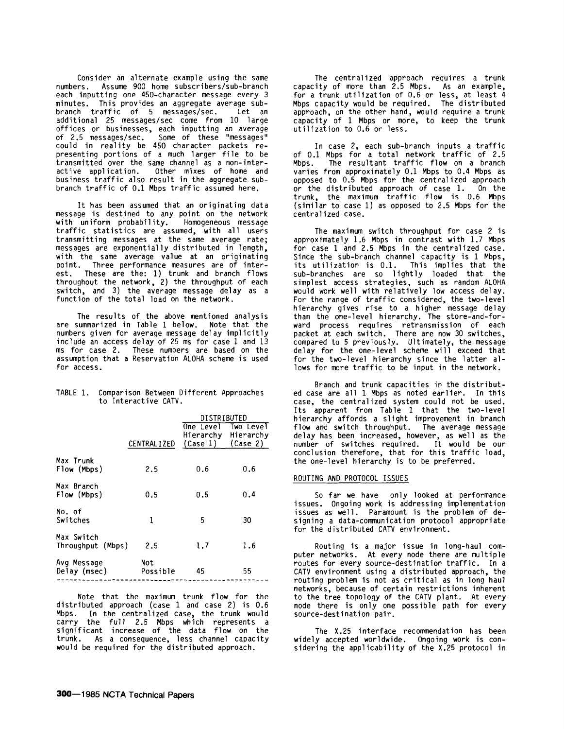Consider an alternate example using the same numbers. Assume 900 home subscribers/sub-branch each inputting one 450-character message every 3 minutes. This provides an aggregate average subbranch traffic of 5 messages/sec. Let an additional 25 messages/sec come from 10 large offices or businesses. each inputting an average of 2.5 messages/sec. Some of these "messages" could in reality be 450 character packets representing portions of a much larger file to be transmitted over the same channel as a non-interactive application. Other mixes of home and business traffic also result in the aggregate subbranch traffic of 0.1 Mbps traffic assumed here.

It has been assumed that an originating data message is destined to any point on the network<br>with uniform probability. Homogeneous message traffic statistics are assumed, with all users transmitting messages at the same average rate; messages are exponentially distributed in length, with the same average value at an originating point. Three performance measures are of interest. These are the: 1) trunk and branch flows throughout the network, 2) the throughput of each switch, and 3) the average message delay as a function of the total load on the network.

The results of the above mentioned analysis are summarized in Table 1 below. Note that the numbers given for average message delay implicitly include an access delay of 25 ms for case 1 and 13 ms for case 2. These numbers are based on the assumption that a Reservation ALOHA scheme is used for access.

|  | TABLE 1. Comparison Between Different Approaches |
|--|--------------------------------------------------|
|  | to Interactive CATV.                             |
|  | $\mathbf{A}$                                     |

|                                 |                    | DISTRIBUTED                        |                                         |  |
|---------------------------------|--------------------|------------------------------------|-----------------------------------------|--|
|                                 | <b>CENTRALIZED</b> | One Level<br>$(Case 1)$ $(Case 2)$ | <b>Two LeveT</b><br>Hierarchy Hierarchy |  |
| Max Trunk<br>Flow (Mbps)        | 2.5                | 0.6                                | 0.6                                     |  |
| Max Branch<br>Flow (Mbps)       | 0.5                | 0.5                                | 0.4                                     |  |
| No. of<br>Switches              | 1                  | 5                                  | 30                                      |  |
| Max Switch<br>Throughput (Mbps) | 2.5                | 1.7                                | 1.6                                     |  |
| Avg Message<br>Delay (msec)     | Not<br>Possible    | 45                                 | 55                                      |  |

Note that the maximum trunk flow for the distributed approach (case 1 and case 2) is 0.6 Mbps. In the centralized case, the trunk would carry the full 2.5 Mbps which represents a significant increase of the data flow on the trunk. As a consequence, less channel capacity would be required for the distributed approach.

The centralized approach requires a trunk capacity of more than 2.5 Mbps. As an example, for a trunk utilization of 0.6 or less, at least 4 Mbps capacity would be required. The distributed approach, on the other hand, would require a trunk capacity of 1 Mbps or more, to keep the trunk utilization to 0.6 or less.

In case 2, each sub-branch inputs a traffic of 0.1 Mbps for a total network traffic of 2.5 Mbps. The resultant traffic flow on a branch varies from approximately 0.1 Mbps to 0.4 Mbps as opposed to 0.5 Mbps for the centralized approach or the distributed approach of case 1. On the trunk, the maximum traffic flow is 0.6 Mbps (similar to case 1) as opposed to 2.5 Mbps for the centralized case.

The maximum switch throughput for case 2 is approximately 1.6 Mbps in contrast with 1.7 Mbps for case 1 and 2.5 Mbps in the centralized case. Since the sub-branch channel capacity is 1 Mbps, its utilization is 0.1. This implies that the sub-branches are so lightly loaded that the simplest access strategies, such as random ALOHA would work well with relatively low access delay. For the range of traffic considered, the two-level hierarchy gives rise to a higher message delay than the one-level hierarchy. The store-and-forward process requires retransmission of each packet at each switch. There are now 30 switches, compared to 5 previously. Ultimately, the message delay for the one-level scheme will exceed that for the two-level hierarchy since the latter allows for more traffic to be input in the network.

Branch and trunk capacities in the distributed case are all 1 Mbps as noted earlier. In this case, the centralized system could not be used. Its apparent from Table 1 that the two-level hierarchy affords a slight improvement in branch<br>flow and switch throughput. The average message delay has been increased, however, as well as the number of switches required. It would be our conclusion therefore, that for this traffic load, the one-level hierarchy is to be preferred.

# ROUTING AND PROTOCOL ISSUES

So far we have only looked at performance issues. Ongoing work is addressing implementation issues as well. Paramount is the problem of designing a data-communication protocol appropriate for the distributed CATV environment.

Routing is a major issue in long-haul computer networks. At every node there are multiple routes for every source-destination traffic. In a CATV environment using a distributed approach, the routing problem is not as critical as in long haul networks, because of certain restrictions inherent to the tree topology of the CATV plant. At every node there is only one possible path for every source-destination pair.

The X.25 interface recommendation has been widely accepted worldwide. Ongoing work is considering the applicability of the X.25 protocol in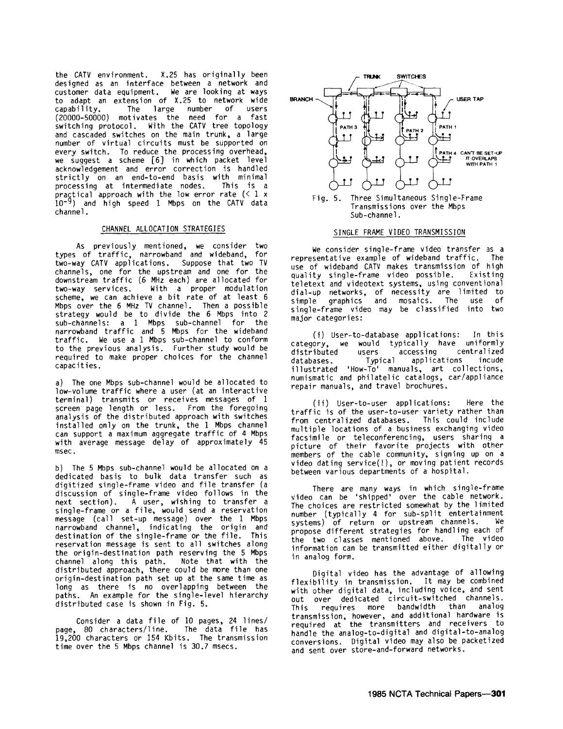the. CATV environment. X.25 has originally been designed as an interface between a network and customer data equipment. We are looking at ways to adapt an extension of X.25 to network wide capability. The large number of users (20000-50000) motivates the need for a fast switching protocol. With the CATV tree topology and cascaded switches on the main trunk, a large number of virtual circuits must be supported on every switch. To reduce the processing overhead, we suggest a scheme [6] in which packet level acknowledgement and error correction is handled strictly on an end-to-end basis with minimal processing at intermediate nodes. This is a  $\rho$ ractical approach with the low error rate (< 1 x 10-g) and high speed 1 Mbps on the CATV data channel.

## CHANNEL ALLOCATION STRATEGIES

As previously mentioned, we consider two types of traffic, narrowband and wideband, for two-way CATV applications. Suppose that two TV channels, one for the upstream and one for the downstream traffic (6 MHz each) are allocated for With a proper modulation scheme, we can achieve a bit rate of at least 6 Mbps over the 6 MHz TV channel. Then a possible strategy would be to divide the 6 Mbps into 2 sub-channels: a 1 Mbps sub-channel for the narrowband traffic and 5 Mbps for the wideband traffic. We use a 1 Mbps sub-channel to conform to the previous analysis. Further study would be required to make proper choices for the channel capacities.

a) The one Mbps sub-channel would be allocated to low-volume traffic where a user (at an interactive terminal) transmits or receives messages of 1 screen page length or less. From the foregoing<br>analysis of the distributed approach with switches installed only on the trunk, the 1 Mbps channel can support a maximum aggregate traffic of 4 Mbps with average message delay of approximately 45 msec.

b) The 5 Mbps sub-channel would be allocated on a dedicated basis to bulk data transfer such as digitized single-frame video and file transfer (a discussion of single-frame video follows in the next sect ion). A user, wishing to transfer a single-frame or a file, would send a reservation message (call set-up message) over the 1 Mbps narrowband channel, indicating the origin and destination of the single-frame or the file. This reservation message is sent to all switches along the origin-destination path reserving the 5 Mbps channel along this path. Note that with the distributed approach, there could be more than one origin-destination path set up at the same time as long as there is no overlapping between the paths. An example for the single-level hierarchy distributed case is shown in Fig. 5.

Consider a data file of 10 pages, 24 lines/ page, 80 characters/line. The data file has 1g,200 characters or 154 Kbits. The transmission time over the 5 Mbps channel is 30.7 msecs.



Transmissions over the Mbps Sub-channel.

#### SINGLE FRAME VIDEO TRANSMISSION

We consider single-frame video transfer as a<br>sentative example of wideband traffic. The representative example of wideband traffic. use of wideband CATV makes transmission of high<br>quality single-frame video possible. Existing quality single-frame video possible. teletext and videotext systems, using conventional d1al-up networks, of necessity are limited to simple graphics and mosaics. The use of single-frame video may be classified into two major categories:

(i) User-to-database applications: In this category, we would typically have uniformly<br>distributed users accessing centralized distributed users accessing centralized<br>databases Typical applications incude databases. Typical applications illustrated 'How-To' manuals, art collections, numismatic and philatelic catalogs, car/appliance repair manuals, and travel brochures.

(ii) User-to-user applications: Here the traffic is of the user-to-user variety rather than from centralized databases. This could include multiple locations of a business exchanging video facsimile or teleconferencing, users sharing a picture of their favorite projects with other members of the cable community, signing up on a video dating service $(!)$ , or moving patient records between various departments of a hospital.

There are many ways in which single-frame video can be 'shipped' over the cable network. The choices are restricted somewhat by the limited number (typically 4 for sub-split entertainment<br>systems) of return or unstream channels. We systems) of return or upstream channels. propose different strategies for handling each of the two classes mentioned above. The video information can be transmitted either digitally or in analog form.

Digital video has the advantage of allowing flexibility in transmission. It may be combined with other digital data, including voice, and sent out over dedicated circuit-switched channels. This requires more bandwidth than analog transmission, however, and additional hardware is required at the transmitters and receivers to handle the analog-to-digital and digital-to-analog conversions. Digital video may also be packetized and sent over store-and-forward networks.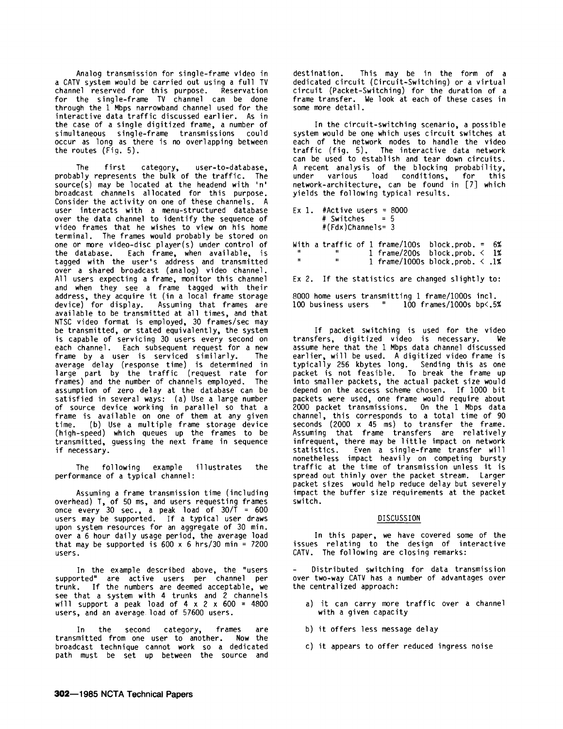Analog transmission for single-frame video in a CATV system would be carried out using a full TV channel reserved for this purpose. Reservation for the single-frame TV channel can be done through the 1 Mbps narrowband channel used for the interactive data traffic discussed earlier. As in the case of a single digitized frame, a number of simultaneous single-frame transmissions occur as long as there is no overlapping between the routes (Fig. 5).

The first category, user-to-database, probably represents the bulk of the traffic. The source(s) may be located at the headend with 'n' broadcast channels allocated for this purpose. Consider the activity on one of these channels. A user interacts with a menu-structured database over the data channel to identify the sequence of video frames that he wishes to view on his home terminal. The frames would probably be stored on one or more video-disc player(s) under control of the database. Each frame, when available, is tagged with the user's address and transmitted over a shared broadcast (analog) video channel. All users expecting a frame, monitor this channel and when they see a frame tagged with their address, they acquire it (in a local frame storage device) for display. Assuming that frames are available to be transmitted at all times, and that NTSC video format is employed, 30 frames/sec may be transmitted, or stated equivalently, the system is capable of servicing 30 users every second on each channel. Each subsequent request for a new<br>frame by a user is serviced similarly. The frame by a user is serviced similarly. average delay (response time) is determined in large part by the traffic (request rate for frames) and the number of channels employed. The assumption of zero delay at the database can be satisfied in several ways: (a) Use a large number of source device working in parallel so that a frame is available on one of them at any given time. (b) Use a multiple frame storage device (high-speed) which queues up the frames to be transmitted, guessing the next frame in sequence if necessary.

The following example illustrates the performance of a typical channel:

Assuming a frame transmission time (including overhead) T, of 50 ms, and users requesting frames once every 30 sec., a peak load of  $30/1 = 600$ users may be supported. If a typical user draws upon system resources for an aggregate of 30 min. over a 6 hour daily usage period, the average load that may be supported is  $600 \times 6$  hrs/30 min = 7200 users.

In the example described above, the "users supported" are active users per channel per trunk. If the numbers are deemed acceptable, we see that a system with 4 trunks and 2 channels will support a peak load of  $4 \times 2 \times 600 = 4800$ users, and an average. load of 57600 users.

In the second category, frames are transmitted from one user to another. Now the broadcast technique cannot work so a dedicated path must be set up between the source and

destination. This may be in the form of a dedicated circuit (Circuit-Switching) or a virtual circuit (Packet-Switching) for the duration of a frame transfer. We look at each of these cases in some more detail.

In the circuit-switching scenario, a possible system would be one which uses circuit switches at each of the network nodes to handle the video traffic (fig. 5). The interactive data network can be used to establish and tear down circuits. A recent analysis of the blocking probability, under various load conditions, for this network-architecture, can be found in [7] which yields the following typical results.

|  | Ex 1. #Active users = $8000$ |  |
|--|------------------------------|--|
|  | # Switches = $5$             |  |
|  | $# (Fdx)$ Channels= 3        |  |

With a traffic of  $1$  frame/ $100s$  block.prob. =  $6\%$ 1 frame/200s block.prob. < 1% 1 frame/1000s block.prob. < .1%

Ex 2. If the statistics are changed slightly to:

8000 home users transmitting 1 frame/1000s incl.  $100$  frames/ $1000s$  bp<.5%

If packet switching is used for the video transfers, digitized video is necessary. We assume here that the 1 Mbps data channel discussed earlier, will be used. A digitized video frame is typically 256 kbytes long. Sending this as one packet is not feasible. To break the frame up into smaller packets, the actual packet size would depend on the access scheme chosen. If 1000 bit packets were used, one frame would require about 2000 packet transmissions. On the 1 Mbps data channel, this corresponds to a total time of 90 seconds (2000 x 45 ms) to transfer the frame. Assuming that frame transfers are relatively infrequent, there may be little impact on network<br>statistics. Even a single-frame transfer will Even a single-frame transfer will nonetheless impact heavily on competing bursty traffic at the time of transmission unless it is spread out thinly over the packet stream. Larger packet sizes would help reduce delay but severely impact the buffer size requirements at the packet switch.

# DISCUSSION

In this paper, we have covered some of the issues relating to the design of interactive CATV. The following are closing remarks:

Distributed switching for data transmission over two-way CATV has a number of advantages over the centralized approach:

- a) it can carry more traffic over a channel with a given capacity
- b) it offers less message delay
- c) it appears to offer reduced ingress noise